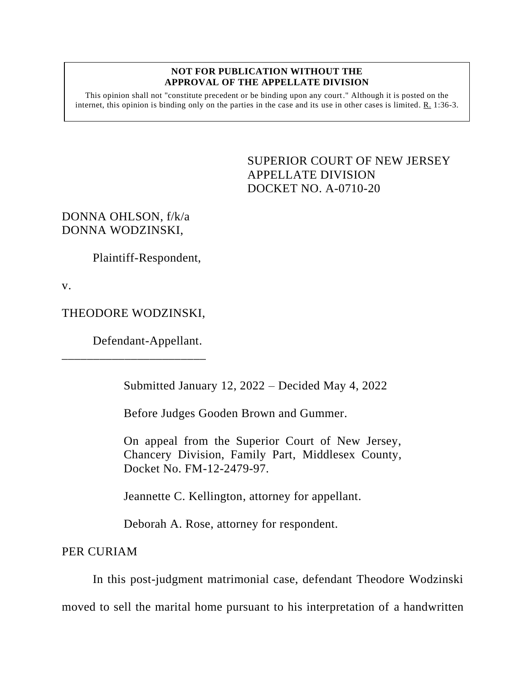## **NOT FOR PUBLICATION WITHOUT THE APPROVAL OF THE APPELLATE DIVISION**

This opinion shall not "constitute precedent or be binding upon any court." Although it is posted on the internet, this opinion is binding only on the parties in the case and its use in other cases is limited. R. 1:36-3.

> <span id="page-0-0"></span>SUPERIOR COURT OF NEW JERSEY APPELLATE DIVISION DOCKET NO. A-0710-20

DONNA OHLSON, f/k/a DONNA WODZINSKI,

Plaintiff-Respondent,

v.

## THEODORE WODZINSKI,

\_\_\_\_\_\_\_\_\_\_\_\_\_\_\_\_\_\_\_\_\_\_\_

Defendant-Appellant.

Submitted January 12, 2022 – Decided May 4, 2022

Before Judges Gooden Brown and Gummer.

On appeal from the Superior Court of New Jersey, Chancery Division, Family Part, Middlesex County, Docket No. FM-12-2479-97.

Jeannette C. Kellington, attorney for appellant.

Deborah A. Rose, attorney for respondent.

PER CURIAM

In this post-judgment matrimonial case, defendant Theodore Wodzinski moved to sell the marital home pursuant to his interpretation of a handwritten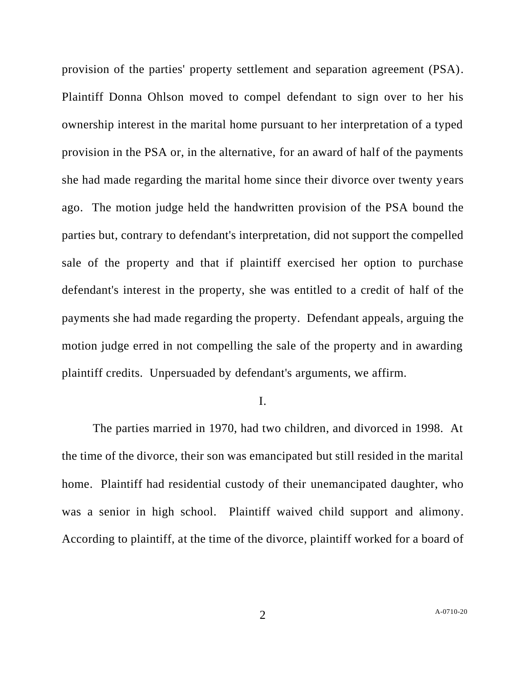provision of the parties' property settlement and separation agreement (PSA). Plaintiff Donna Ohlson moved to compel defendant to sign over to her his ownership interest in the marital home pursuant to her interpretation of a typed provision in the PSA or, in the alternative, for an award of half of the payments she had made regarding the marital home since their divorce over twenty years ago. The motion judge held the handwritten provision of the PSA bound the parties but, contrary to defendant's interpretation, did not support the compelled sale of the property and that if plaintiff exercised her option to purchase defendant's interest in the property, she was entitled to a credit of half of the payments she had made regarding the property. Defendant appeals, arguing the motion judge erred in not compelling the sale of the property and in awarding plaintiff credits. Unpersuaded by defendant's arguments, we affirm.

## I.

The parties married in 1970, had two children, and divorced in 1998. At the time of the divorce, their son was emancipated but still resided in the marital home. Plaintiff had residential custody of their unemancipated daughter, who was a senior in high school. Plaintiff waived child support and alimony. According to plaintiff, at the time of the divorce, plaintiff worked for a board of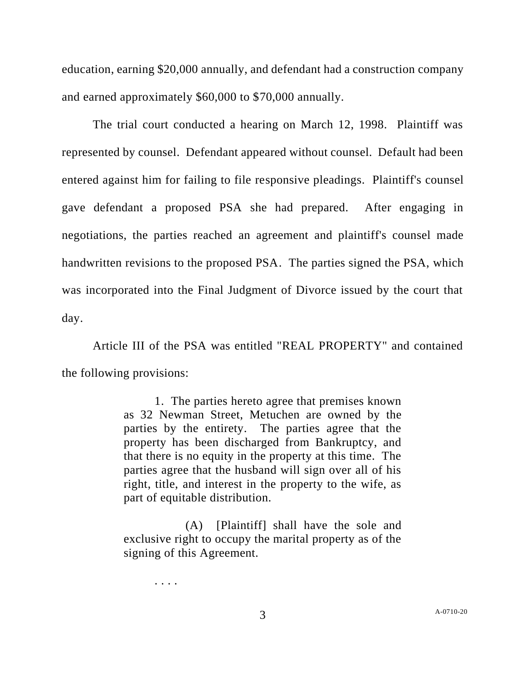education, earning \$20,000 annually, and defendant had a construction company and earned approximately \$60,000 to \$70,000 annually.

The trial court conducted a hearing on March 12, 1998. Plaintiff was represented by counsel. Defendant appeared without counsel. Default had been entered against him for failing to file responsive pleadings. Plaintiff's counsel gave defendant a proposed PSA she had prepared. After engaging in negotiations, the parties reached an agreement and plaintiff's counsel made handwritten revisions to the proposed PSA. The parties signed the PSA, which was incorporated into the Final Judgment of Divorce issued by the court that day.

Article III of the PSA was entitled "REAL PROPERTY" and contained the following provisions:

> 1. The parties hereto agree that premises known as 32 Newman Street, Metuchen are owned by the parties by the entirety. The parties agree that the property has been discharged from Bankruptcy, and that there is no equity in the property at this time. The parties agree that the husband will sign over all of his right, title, and interest in the property to the wife, as part of equitable distribution.

> (A) [Plaintiff] shall have the sole and exclusive right to occupy the marital property as of the signing of this Agreement.

> > . . . .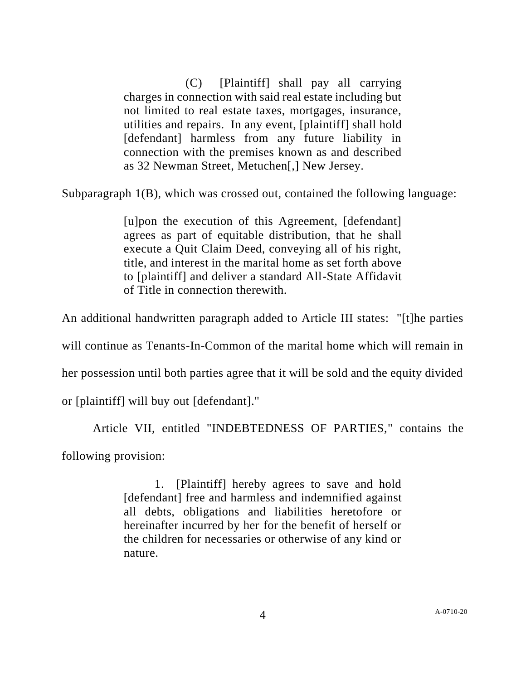(C) [Plaintiff] shall pay all carrying charges in connection with said real estate including but not limited to real estate taxes, mortgages, insurance, utilities and repairs. In any event, [plaintiff] shall hold [defendant] harmless from any future liability in connection with the premises known as and described as 32 Newman Street, Metuchen[,] New Jersey.

Subparagraph 1(B), which was crossed out, contained the following language:

[u]pon the execution of this Agreement, [defendant] agrees as part of equitable distribution, that he shall execute a Quit Claim Deed, conveying all of his right, title, and interest in the marital home as set forth above to [plaintiff] and deliver a standard All-State Affidavit of Title in connection therewith.

An additional handwritten paragraph added to Article III states: "[t]he parties

will continue as Tenants-In-Common of the marital home which will remain in

her possession until both parties agree that it will be sold and the equity divided

or [plaintiff] will buy out [defendant]."

Article VII, entitled "INDEBTEDNESS OF PARTIES," contains the following provision:

> 1. [Plaintiff] hereby agrees to save and hold [defendant] free and harmless and indemnified against all debts, obligations and liabilities heretofore or hereinafter incurred by her for the benefit of herself or the children for necessaries or otherwise of any kind or nature.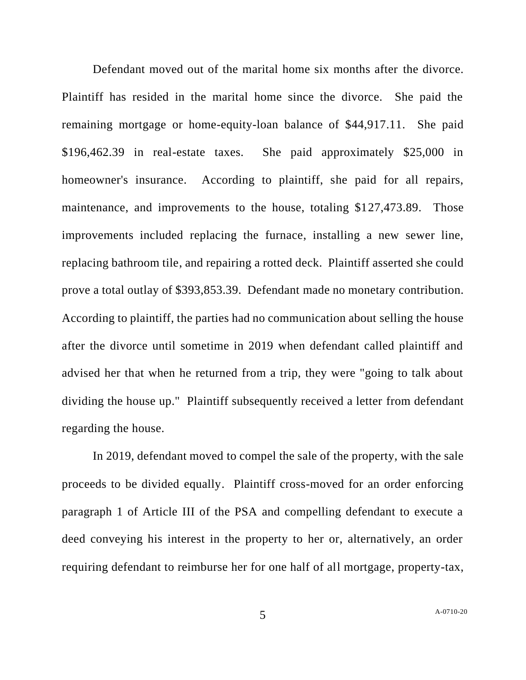Defendant moved out of the marital home six months after the divorce. Plaintiff has resided in the marital home since the divorce. She paid the remaining mortgage or home-equity-loan balance of \$44,917.11. She paid \$196,462.39 in real-estate taxes. She paid approximately \$25,000 in homeowner's insurance. According to plaintiff, she paid for all repairs, maintenance, and improvements to the house, totaling \$127,473.89. Those improvements included replacing the furnace, installing a new sewer line, replacing bathroom tile, and repairing a rotted deck. Plaintiff asserted she could prove a total outlay of \$393,853.39. Defendant made no monetary contribution. According to plaintiff, the parties had no communication about selling the house after the divorce until sometime in 2019 when defendant called plaintiff and advised her that when he returned from a trip, they were "going to talk about dividing the house up." Plaintiff subsequently received a letter from defendant regarding the house.

In 2019, defendant moved to compel the sale of the property, with the sale proceeds to be divided equally. Plaintiff cross-moved for an order enforcing paragraph 1 of Article III of the PSA and compelling defendant to execute a deed conveying his interest in the property to her or, alternatively, an order requiring defendant to reimburse her for one half of all mortgage, property-tax,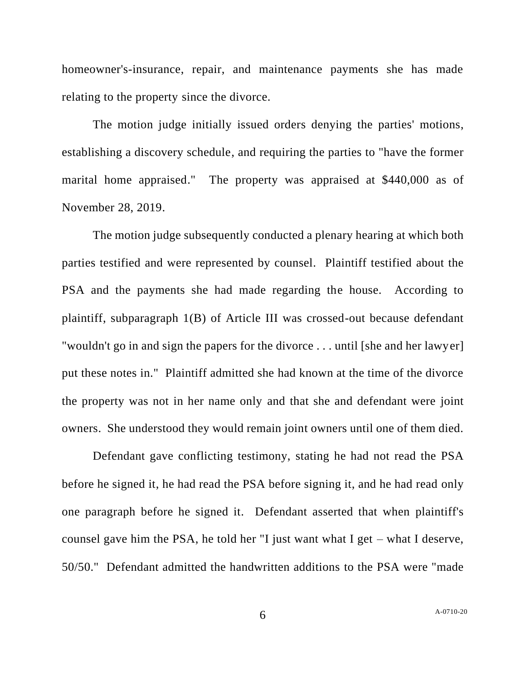homeowner's-insurance, repair, and maintenance payments she has made relating to the property since the divorce.

The motion judge initially issued orders denying the parties' motions, establishing a discovery schedule, and requiring the parties to "have the former marital home appraised." The property was appraised at \$440,000 as of November 28, 2019.

The motion judge subsequently conducted a plenary hearing at which both parties testified and were represented by counsel. Plaintiff testified about the PSA and the payments she had made regarding the house. According to plaintiff, subparagraph 1(B) of Article III was crossed-out because defendant "wouldn't go in and sign the papers for the divorce . . . until [she and her lawyer] put these notes in." Plaintiff admitted she had known at the time of the divorce the property was not in her name only and that she and defendant were joint owners. She understood they would remain joint owners until one of them died.

Defendant gave conflicting testimony, stating he had not read the PSA before he signed it, he had read the PSA before signing it, and he had read only one paragraph before he signed it. Defendant asserted that when plaintiff's counsel gave him the PSA, he told her "I just want what I get – what I deserve, 50/50." Defendant admitted the handwritten additions to the PSA were "made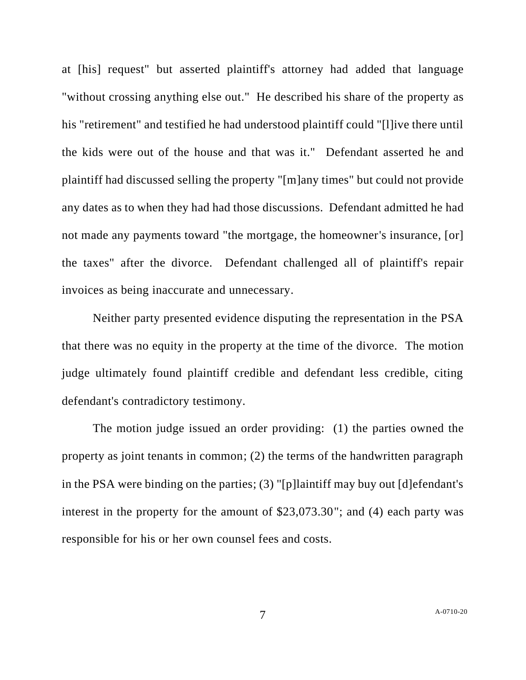at [his] request" but asserted plaintiff's attorney had added that language "without crossing anything else out." He described his share of the property as his "retirement" and testified he had understood plaintiff could "[l]ive there until the kids were out of the house and that was it." Defendant asserted he and plaintiff had discussed selling the property "[m]any times" but could not provide any dates as to when they had had those discussions. Defendant admitted he had not made any payments toward "the mortgage, the homeowner's insurance, [or] the taxes" after the divorce. Defendant challenged all of plaintiff's repair invoices as being inaccurate and unnecessary.

Neither party presented evidence disputing the representation in the PSA that there was no equity in the property at the time of the divorce. The motion judge ultimately found plaintiff credible and defendant less credible, citing defendant's contradictory testimony.

The motion judge issued an order providing: (1) the parties owned the property as joint tenants in common; (2) the terms of the handwritten paragraph in the PSA were binding on the parties; (3) "[p]laintiff may buy out [d]efendant's interest in the property for the amount of \$23,073.30"; and (4) each party was responsible for his or her own counsel fees and costs.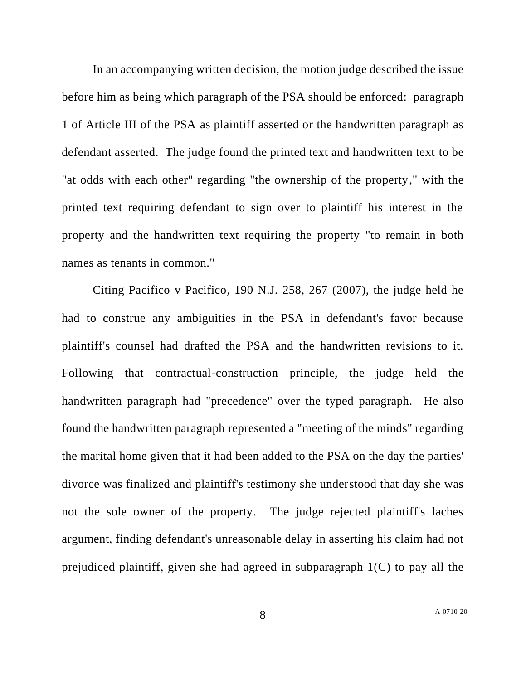In an accompanying written decision, the motion judge described the issue before him as being which paragraph of the PSA should be enforced: paragraph 1 of Article III of the PSA as plaintiff asserted or the handwritten paragraph as defendant asserted. The judge found the printed text and handwritten text to be "at odds with each other" regarding "the ownership of the property," with the printed text requiring defendant to sign over to plaintiff his interest in the property and the handwritten text requiring the property "to remain in both names as tenants in common."

Citing Pacifico v Pacifico, 190 N.J. 258, 267 (2007), the judge held he had to construe any ambiguities in the PSA in defendant's favor because plaintiff's counsel had drafted the PSA and the handwritten revisions to it. Following that contractual-construction principle, the judge held the handwritten paragraph had "precedence" over the typed paragraph. He also found the handwritten paragraph represented a "meeting of the minds" regarding the marital home given that it had been added to the PSA on the day the parties' divorce was finalized and plaintiff's testimony she understood that day she was not the sole owner of the property. The judge rejected plaintiff's laches argument, finding defendant's unreasonable delay in asserting his claim had not prejudiced plaintiff, given she had agreed in subparagraph 1(C) to pay all the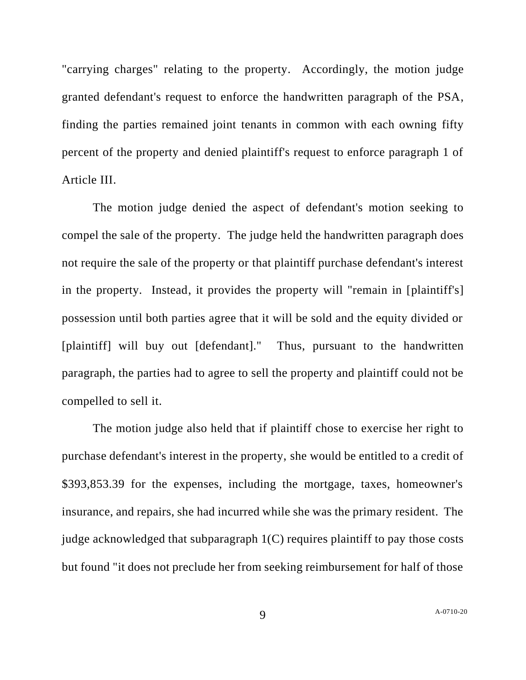"carrying charges" relating to the property. Accordingly, the motion judge granted defendant's request to enforce the handwritten paragraph of the PSA, finding the parties remained joint tenants in common with each owning fifty percent of the property and denied plaintiff's request to enforce paragraph 1 of Article III.

The motion judge denied the aspect of defendant's motion seeking to compel the sale of the property. The judge held the handwritten paragraph does not require the sale of the property or that plaintiff purchase defendant's interest in the property. Instead, it provides the property will "remain in [plaintiff's] possession until both parties agree that it will be sold and the equity divided or [plaintiff] will buy out [defendant]." Thus, pursuant to the handwritten paragraph, the parties had to agree to sell the property and plaintiff could not be compelled to sell it.

The motion judge also held that if plaintiff chose to exercise her right to purchase defendant's interest in the property, she would be entitled to a credit of \$393,853.39 for the expenses, including the mortgage, taxes, homeowner's insurance, and repairs, she had incurred while she was the primary resident. The judge acknowledged that subparagraph 1(C) requires plaintiff to pay those costs but found "it does not preclude her from seeking reimbursement for half of those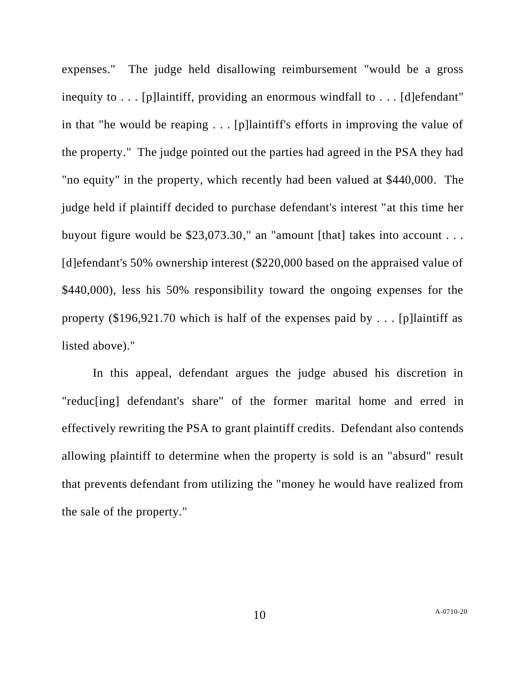expenses." The judge held disallowing reimbursement "would be a gross inequity to . . . [p]laintiff, providing an enormous windfall to . . . [d]efendant" in that "he would be reaping . . . [p]laintiff's efforts in improving the value of the property." The judge pointed out the parties had agreed in the PSA they had "no equity" in the property, which recently had been valued at \$440,000. The judge held if plaintiff decided to purchase defendant's interest "at this time her buyout figure would be \$23,073.30," an "amount [that] takes into account . . . [d]efendant's 50% ownership interest (\$220,000 based on the appraised value of \$440,000), less his 50% responsibility toward the ongoing expenses for the property (\$196,921.70 which is half of the expenses paid by . . . [p]laintiff as listed above)."

In this appeal, defendant argues the judge abused his discretion in "reduc[ing] defendant's share" of the former marital home and erred in effectively rewriting the PSA to grant plaintiff credits. Defendant also contends allowing plaintiff to determine when the property is sold is an "absurd" result that prevents defendant from utilizing the "money he would have realized from the sale of the property."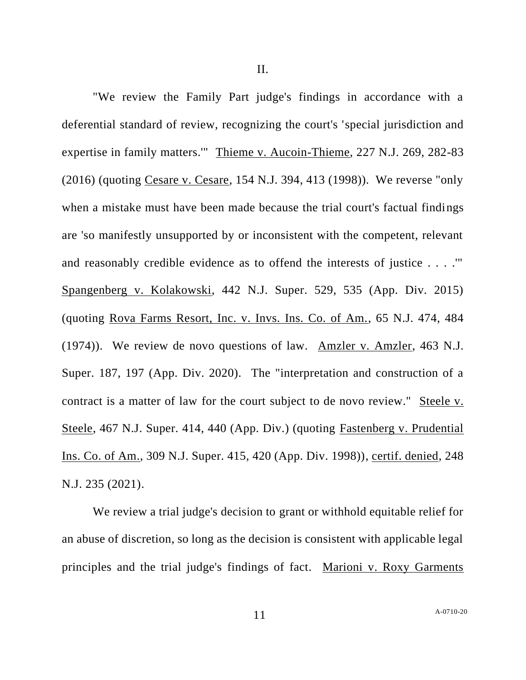"We review the Family Part judge's findings in accordance with a deferential standard of review, recognizing the court's 'special jurisdiction and expertise in family matters.'" Thieme v. Aucoin-Thieme, 227 N.J. 269, 282-83 (2016) (quoting Cesare v. Cesare, 154 N.J. 394, 413 (1998)). We reverse "only when a mistake must have been made because the trial court's factual findings are 'so manifestly unsupported by or inconsistent with the competent, relevant and reasonably credible evidence as to offend the interests of justice . . . .'" Spangenberg v. Kolakowski, 442 N.J. Super. 529, 535 (App. Div. 2015) (quoting Rova Farms Resort, Inc. v. Invs. Ins. Co. of Am., 65 N.J. 474, 484 (1974)). We review de novo questions of law. Amzler v. Amzler, 463 N.J. Super. 187, 197 (App. Div. 2020). The "interpretation and construction of a contract is a matter of law for the court subject to de novo review." Steele v. Steele, 467 N.J. Super. 414, 440 (App. Div.) (quoting Fastenberg v. Prudential Ins. Co. of Am., 309 N.J. Super. 415, 420 (App. Div. 1998)), certif. denied, 248 N.J. 235 (2021).

We review a trial judge's decision to grant or withhold equitable relief for an abuse of discretion, so long as the decision is consistent with applicable legal principles and the trial judge's findings of fact. Marioni v. Roxy Garments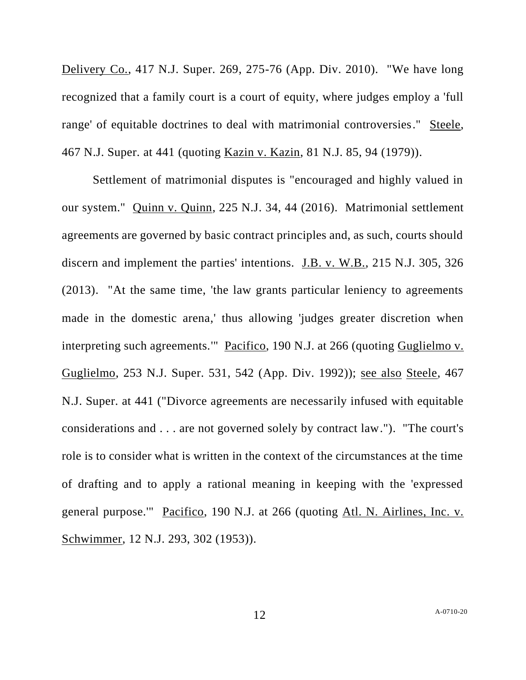Delivery Co., 417 N.J. Super. 269, 275-76 (App. Div. 2010). "We have long recognized that a family court is a court of equity, where judges employ a 'full range' of equitable doctrines to deal with matrimonial controversies." Steele, 467 N.J. Super. at 441 (quoting Kazin v. Kazin, 81 N.J. 85, 94 (1979)).

Settlement of matrimonial disputes is "encouraged and highly valued in our system." Quinn v. Quinn, 225 N.J. 34, 44 (2016). Matrimonial settlement agreements are governed by basic contract principles and, as such, courts should discern and implement the parties' intentions. J.B. v. W.B., 215 N.J. 305, 326 (2013). "At the same time, 'the law grants particular leniency to agreements made in the domestic arena,' thus allowing 'judges greater discretion when interpreting such agreements." Pacifico, 190 N.J. at 266 (quoting Guglielmo v. Guglielmo, 253 N.J. Super. 531, 542 (App. Div. 1992)); see also Steele, 467 N.J. Super. at 441 ("Divorce agreements are necessarily infused with equitable considerations and . . . are not governed solely by contract law."). "The court's role is to consider what is written in the context of the circumstances at the time of drafting and to apply a rational meaning in keeping with the 'expressed general purpose.'" Pacifico, 190 N.J. at 266 (quoting Atl. N. Airlines, Inc. v. Schwimmer, 12 N.J. 293, 302 (1953)).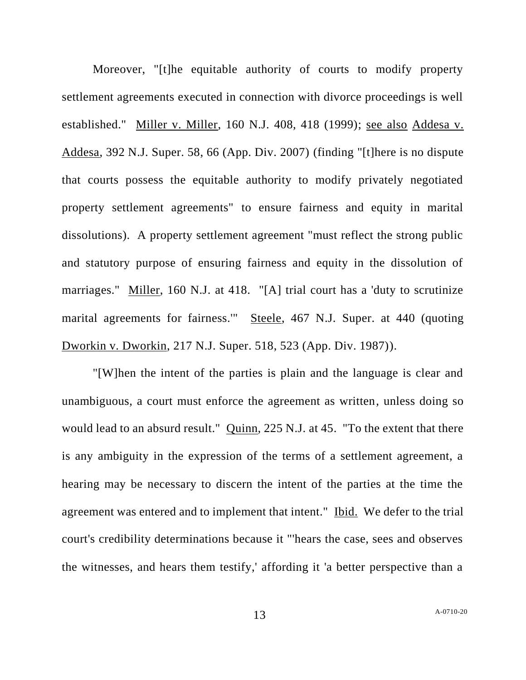Moreover, "[t]he equitable authority of courts to modify property settlement agreements executed in connection with divorce proceedings is well established." Miller v. Miller, 160 N.J. 408, 418 (1999); see also Addesa v. Addesa, 392 N.J. Super. 58, 66 (App. Div. 2007) (finding "[t]here is no dispute that courts possess the equitable authority to modify privately negotiated property settlement agreements" to ensure fairness and equity in marital dissolutions). A property settlement agreement "must reflect the strong public and statutory purpose of ensuring fairness and equity in the dissolution of marriages." Miller, 160 N.J. at 418. "[A] trial court has a 'duty to scrutinize marital agreements for fairness.'" Steele, 467 N.J. Super. at 440 (quoting Dworkin v. Dworkin, 217 N.J. Super. 518, 523 (App. Div. 1987)).

"[W]hen the intent of the parties is plain and the language is clear and unambiguous, a court must enforce the agreement as written, unless doing so would lead to an absurd result." Quinn, 225 N.J. at 45. "To the extent that there is any ambiguity in the expression of the terms of a settlement agreement, a hearing may be necessary to discern the intent of the parties at the time the agreement was entered and to implement that intent." Ibid. We defer to the trial court's credibility determinations because it "'hears the case, sees and observes the witnesses, and hears them testify,' affording it 'a better perspective than a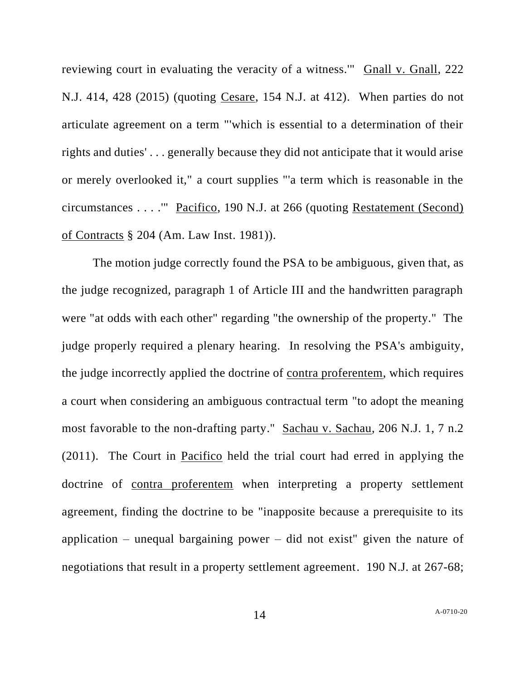reviewing court in evaluating the veracity of a witness.'" Gnall v. Gnall, 222 N.J. 414, 428 (2015) (quoting Cesare, 154 N.J. at 412). When parties do not articulate agreement on a term "'which is essential to a determination of their rights and duties' . . . generally because they did not anticipate that it would arise or merely overlooked it," a court supplies "'a term which is reasonable in the circumstances . . . .'" Pacifico, 190 N.J. at 266 (quoting Restatement (Second) of Contracts § 204 (Am. Law Inst. 1981)).

The motion judge correctly found the PSA to be ambiguous, given that, as the judge recognized, paragraph 1 of Article III and the handwritten paragraph were "at odds with each other" regarding "the ownership of the property." The judge properly required a plenary hearing. In resolving the PSA's ambiguity, the judge incorrectly applied the doctrine of contra proferentem, which requires a court when considering an ambiguous contractual term "to adopt the meaning most favorable to the non-drafting party." Sachau v. Sachau, 206 N.J. 1, 7 n.2 (2011). The Court in Pacifico held the trial court had erred in applying the doctrine of contra proferentem when interpreting a property settlement agreement, finding the doctrine to be "inapposite because a prerequisite to its application – unequal bargaining power – did not exist" given the nature of negotiations that result in a property settlement agreement. 190 N.J. at 267-68;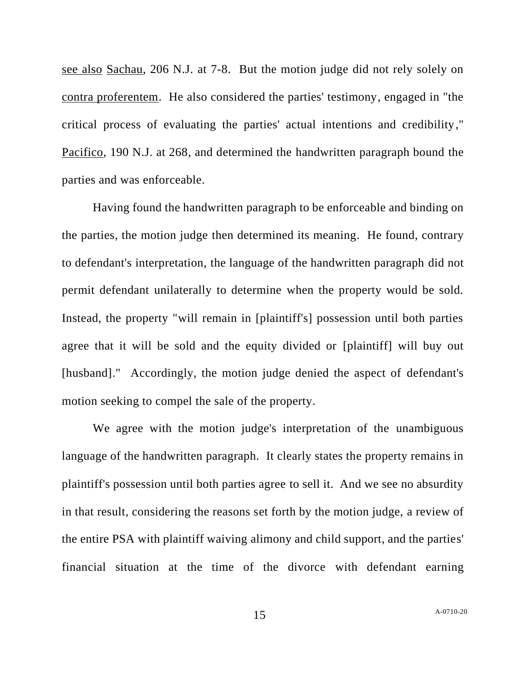see also Sachau, 206 N.J. at 7-8. But the motion judge did not rely solely on contra proferentem. He also considered the parties' testimony, engaged in "the critical process of evaluating the parties' actual intentions and credibility," Pacifico, 190 N.J. at 268, and determined the handwritten paragraph bound the parties and was enforceable.

Having found the handwritten paragraph to be enforceable and binding on the parties, the motion judge then determined its meaning. He found, contrary to defendant's interpretation, the language of the handwritten paragraph did not permit defendant unilaterally to determine when the property would be sold. Instead, the property "will remain in [plaintiff's] possession until both parties agree that it will be sold and the equity divided or [plaintiff] will buy out [husband]." Accordingly, the motion judge denied the aspect of defendant's motion seeking to compel the sale of the property.

We agree with the motion judge's interpretation of the unambiguous language of the handwritten paragraph. It clearly states the property remains in plaintiff's possession until both parties agree to sell it. And we see no absurdity in that result, considering the reasons set forth by the motion judge, a review of the entire PSA with plaintiff waiving alimony and child support, and the parties' financial situation at the time of the divorce with defendant earning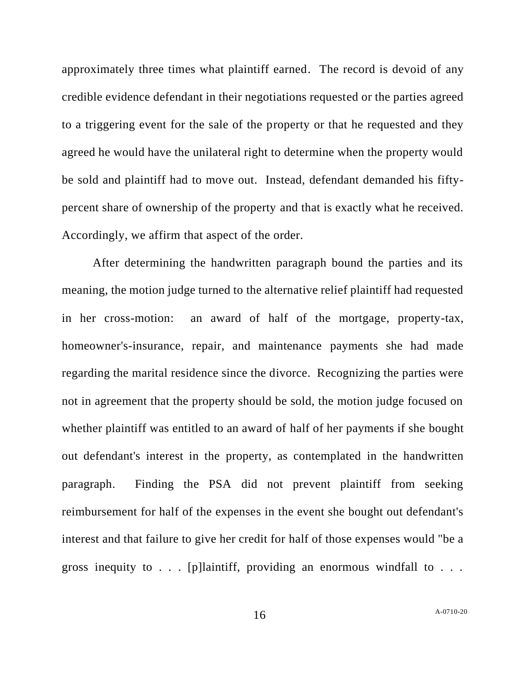approximately three times what plaintiff earned. The record is devoid of any credible evidence defendant in their negotiations requested or the parties agreed to a triggering event for the sale of the property or that he requested and they agreed he would have the unilateral right to determine when the property would be sold and plaintiff had to move out. Instead, defendant demanded his fiftypercent share of ownership of the property and that is exactly what he received. Accordingly, we affirm that aspect of the order.

After determining the handwritten paragraph bound the parties and its meaning, the motion judge turned to the alternative relief plaintiff had requested in her cross-motion: an award of half of the mortgage, property-tax, homeowner's-insurance, repair, and maintenance payments she had made regarding the marital residence since the divorce. Recognizing the parties were not in agreement that the property should be sold, the motion judge focused on whether plaintiff was entitled to an award of half of her payments if she bought out defendant's interest in the property, as contemplated in the handwritten paragraph. Finding the PSA did not prevent plaintiff from seeking reimbursement for half of the expenses in the event she bought out defendant's interest and that failure to give her credit for half of those expenses would "be a gross inequity to  $\ldots$  [p] laintiff, providing an enormous windfall to  $\ldots$ .